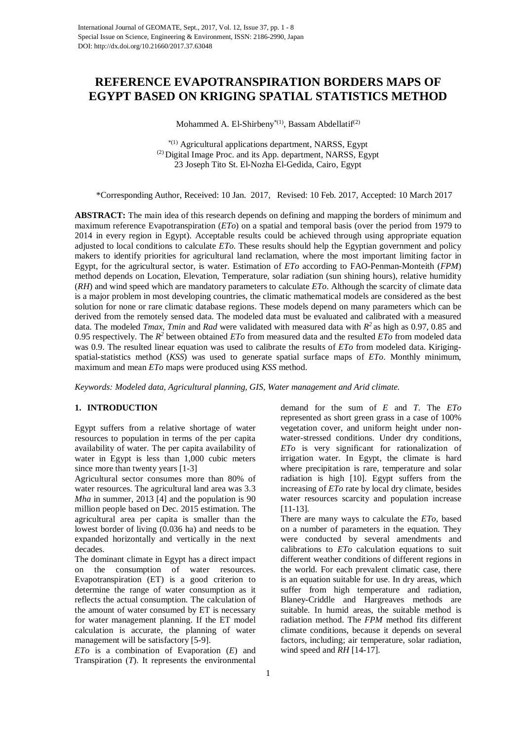# **REFERENCE EVAPOTRANSPIRATION BORDERS MAPS OF EGYPT BASED ON KRIGING SPATIAL STATISTICS METHOD**

Mohammed A. El-Shirbeny<sup>\*(1)</sup>, Bassam Abdellatif<sup>(2)</sup>

\*(1) Agricultural applications department, NARSS, Egypt (2) Digital Image Proc. and its App. department, NARSS, Egypt 23 Joseph Tito St. El-Nozha El-Gedida, Cairo, Egypt

\*Corresponding Author, Received: 10 Jan. 2017, Revised: 10 Feb. 2017, Accepted: 10 March 2017

**ABSTRACT:** The main idea of this research depends on defining and mapping the borders of minimum and maximum reference Evapotranspiration (*ETo*) on a spatial and temporal basis (over the period from 1979 to 2014 in every region in Egypt). Acceptable results could be achieved through using appropriate equation adjusted to local conditions to calculate *ETo*. These results should help the Egyptian government and policy makers to identify priorities for agricultural land reclamation, where the most important limiting factor in Egypt, for the agricultural sector, is water. Estimation of *ETo* according to FAO-Penman-Monteith (*FPM*) method depends on Location, Elevation, Temperature, solar radiation (sun shining hours), relative humidity (*RH*) and wind speed which are mandatory parameters to calculate *ETo*. Although the scarcity of climate data is a major problem in most developing countries, the climatic mathematical models are considered as the best solution for none or rare climatic database regions. These models depend on many parameters which can be derived from the remotely sensed data. The modeled data must be evaluated and calibrated with a measured data. The modeled *Tmax*, *Tmin* and *Rad* were validated with measured data with *R2* as high as 0.97, 0.85 and 0.95 respectively. The *R2* between obtained *ETo* from measured data and the resulted *ETo* from modeled data was 0.9. The resulted linear equation was used to calibrate the results of *ETo* from modeled data. Kirigingspatial-statistics method (*KSS*) was used to generate spatial surface maps of *ETo*. Monthly minimum, maximum and mean *ETo* maps were produced using *KSS* method.

*Keywords: Modeled data, Agricultural planning, GIS, Water management and Arid climate.*

## **1. INTRODUCTION**

Egypt suffers from a relative shortage of water resources to population in terms of the per capita availability of water. The per capita availability of water in Egypt is less than 1,000 cubic meters since more than twenty years [1-3]

Agricultural sector consumes more than 80% of water resources. The agricultural land area was 3.3 *Mha* in summer, 2013 [4] and the population is 90 million people based on Dec. 2015 estimation. The agricultural area per capita is smaller than the lowest border of living (0.036 ha) and needs to be expanded horizontally and vertically in the next decades.

The dominant climate in Egypt has a direct impact on the consumption of water resources. Evapotranspiration (ET) is a good criterion to determine the range of water consumption as it reflects the actual consumption. The calculation of the amount of water consumed by ET is necessary for water management planning. If the ET model calculation is accurate, the planning of water management will be satisfactory [5-9].

*ETo* is a combination of Evaporation (*E*) and Transpiration (*T*). It represents the environmental demand for the sum of *E* and *T*. The *ETo* represented as short green grass in a case of 100% vegetation cover, and uniform height under nonwater-stressed conditions. Under dry conditions, *ETo* is very significant for rationalization of irrigation water. In Egypt, the climate is hard where precipitation is rare, temperature and solar radiation is high [10]. Egypt suffers from the increasing of *ETo* rate by local dry climate, besides water resources scarcity and population increase [11-13].

There are many ways to calculate the *ETo,* based on a number of parameters in the equation. They were conducted by several amendments and calibrations to *ETo* calculation equations to suit different weather conditions of different regions in the world. For each prevalent climatic case, there is an equation suitable for use. In dry areas, which suffer from high temperature and radiation, Blaney-Criddle and Hargreaves methods are suitable. In humid areas, the suitable method is radiation method. The *FPM* method fits different climate conditions, because it depends on several factors, including; air temperature, solar radiation, wind speed and *RH* [14-17].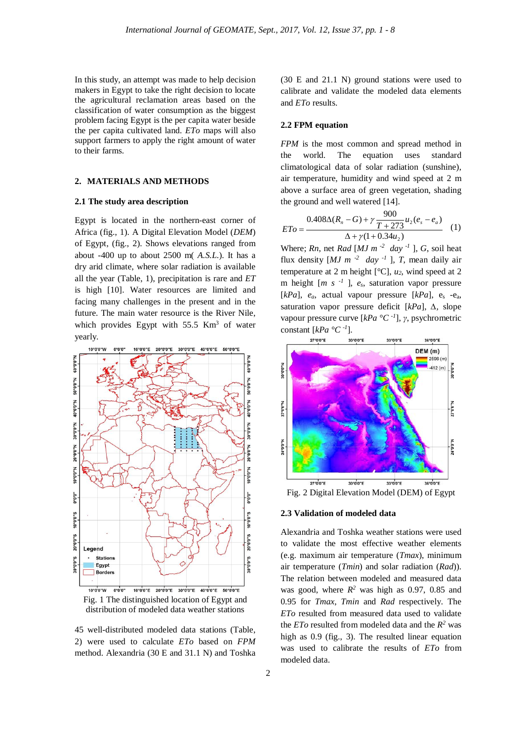In this study, an attempt was made to help decision makers in Egypt to take the right decision to locate the agricultural reclamation areas based on the classification of water consumption as the biggest problem facing Egypt is the per capita water beside the per capita cultivated land. *ETo* maps will also support farmers to apply the right amount of water to their farms.

## **2. MATERIALS AND METHODS**

## **2.1 The study area description**

Egypt is located in the northern-east corner of Africa (fig., 1). A Digital Elevation Model (*DEM*) of Egypt, (fig., 2). Shows elevations ranged from about -400 up to about 2500 m( *A.S.L*.). It has a dry arid climate, where solar radiation is available all the year (Table, 1), precipitation is rare and *ET* is high [10]. Water resources are limited and facing many challenges in the present and in the future. The main water resource is the River Nile, which provides Egypt with  $55.5$  Km<sup>3</sup> of water yearly.



45 well-distributed modeled data stations (Table, 2) were used to calculate *ETo* based on *FPM* method. Alexandria (30 E and 31.1 N) and Toshka

(30 E and 21.1 N) ground stations were used to calibrate and validate the modeled data elements and *ETo* results.

### **2.2 FPM equation**

*FPM* is the most common and spread method in the world. The equation uses standard climatological data of solar radiation (sunshine), air temperature, humidity and wind speed at 2 m above a surface area of green vegetation, shading the ground and well watered [14].

$$
ETo = \frac{0.408\Delta(R_n - G) + \gamma \frac{900}{T + 273}u_2(e_s - e_a)}{\Delta + \gamma(1 + 0.34u_2)} \quad (1)
$$

Where; *Rn*, net *Rad* [*MJ*  $m^{-2}$  *day* <sup>-1</sup> ], *G*, soil heat flux density  $[MJ \, m^{-2} \, day^{-1}]$ , *T*, mean daily air temperature at 2 m height [°C], *u2*, wind speed at 2 m height [*m s -1* ], *es*, saturation vapor pressure  $[kPa]$ ,  $e_a$ , actual vapour pressure  $[kPa]$ ,  $e_s$  - $e_a$ , saturation vapor pressure deficit [*kPa*], *∆,* slope vapour pressure curve [*kPa °C -1* ], *γ*, psychrometric constant [*kPa °C -1* ].



## **2.3 Validation of modeled data**

Alexandria and Toshka weather stations were used to validate the most effective weather elements (e.g. maximum air temperature (*Tmax*), minimum air temperature (*Tmin*) and solar radiation (*Rad*)). The relation between modeled and measured data was good, where  $R^2$  was high as 0.97, 0.85 and 0.95 for *Tmax*, *Tmin* and *Rad* respectively. The *ETo* resulted from measured data used to validate the *ET* $o$  resulted from modeled data and the  $R^2$  was high as 0.9 (fig., 3). The resulted linear equation was used to calibrate the results of *ETo* from modeled data.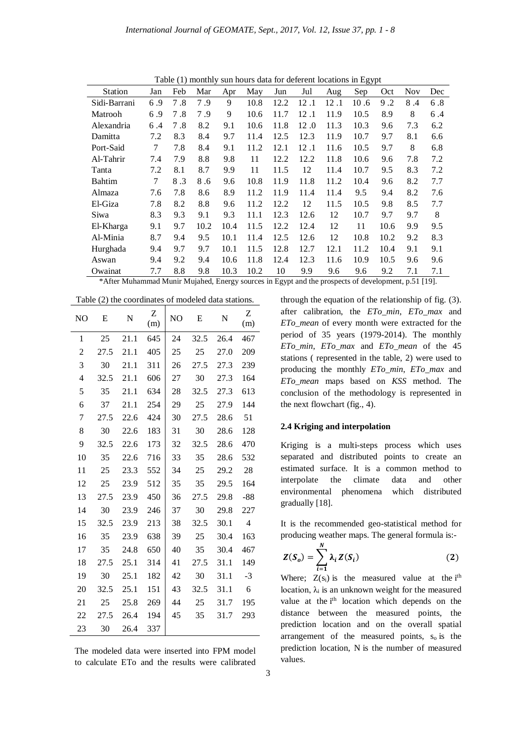| <b>LAUR (L) HOHULY</b><br>sun nours data for deferent locations in Egypt |     |     |      |      |      |      |      |      |      |      |      |     |
|--------------------------------------------------------------------------|-----|-----|------|------|------|------|------|------|------|------|------|-----|
| <b>Station</b>                                                           | Jan | Feb | Mar  | Apr  | May  | Jun  | Jul  | Aug  | Sep  | Oct  | Nov. | Dec |
| Sidi-Barrani                                                             | 6.9 | 7.8 | 7.9  | 9    | 10.8 | 12.2 | 12.1 | 12.1 | 10.6 | 9.2  | 8.4  | 6.8 |
| Matrooh                                                                  | 6.9 | 7.8 | 7.9  | 9    | 10.6 | 11.7 | 12.1 | 11.9 | 10.5 | 8.9  | 8    | 6.4 |
| Alexandria                                                               | 6.4 | 7.8 | 8.2  | 9.1  | 10.6 | 11.8 | 12.0 | 11.3 | 10.3 | 9.6  | 7.3  | 6.2 |
| Damitta                                                                  | 7.2 | 8.3 | 8.4  | 9.7  | 11.4 | 12.5 | 12.3 | 11.9 | 10.7 | 9.7  | 8.1  | 6.6 |
| Port-Said                                                                | 7   | 7.8 | 8.4  | 9.1  | 11.2 | 12.1 | 12.1 | 11.6 | 10.5 | 9.7  | 8    | 6.8 |
| Al-Tahrir                                                                | 7.4 | 7.9 | 8.8  | 9.8  | 11   | 12.2 | 12.2 | 11.8 | 10.6 | 9.6  | 7.8  | 7.2 |
| Tanta                                                                    | 7.2 | 8.1 | 8.7  | 9.9  | 11   | 11.5 | 12   | 11.4 | 10.7 | 9.5  | 8.3  | 7.2 |
| Bahtim                                                                   | 7   | 8.3 | 8.6  | 9.6  | 10.8 | 11.9 | 11.8 | 11.2 | 10.4 | 9.6  | 8.2  | 7.7 |
| Almaza                                                                   | 7.6 | 7.8 | 8.6  | 8.9  | 11.2 | 11.9 | 11.4 | 11.4 | 9.5  | 9.4  | 8.2  | 7.6 |
| El-Giza                                                                  | 7.8 | 8.2 | 8.8  | 9.6  | 11.2 | 12.2 | 12   | 11.5 | 10.5 | 9.8  | 8.5  | 7.7 |
| Siwa                                                                     | 8.3 | 9.3 | 9.1  | 9.3  | 11.1 | 12.3 | 12.6 | 12   | 10.7 | 9.7  | 9.7  | 8   |
| El-Kharga                                                                | 9.1 | 9.7 | 10.2 | 10.4 | 11.5 | 12.2 | 12.4 | 12   | 11   | 10.6 | 9.9  | 9.5 |
| Al-Minia                                                                 | 8.7 | 9.4 | 9.5  | 10.1 | 11.4 | 12.5 | 12.6 | 12   | 10.8 | 10.2 | 9.2  | 8.3 |
| Hurghada                                                                 | 9.4 | 9.7 | 9.7  | 10.1 | 11.5 | 12.8 | 12.7 | 12.1 | 11.2 | 10.4 | 9.1  | 9.1 |
| Aswan                                                                    | 9.4 | 9.2 | 9.4  | 10.6 | 11.8 | 12.4 | 12.3 | 11.6 | 10.9 | 10.5 | 9.6  | 9.6 |
| Owainat                                                                  | 7.7 | 8.8 | 9.8  | 10.3 | 10.2 | 10   | 9.9  | 9.6  | 9.6  | 9.2  | 7.1  | 7.1 |

Table (1) monthly sun hours data for deferent locations in Egypt

\*After Muhammad Munir Mujahed, Energy sources in Egypt and the prospects of development, p.51 [19].

|                | Table (2) the coordinates of modeled data stations. |      |          |                |      |      |                |  |  |  |  |
|----------------|-----------------------------------------------------|------|----------|----------------|------|------|----------------|--|--|--|--|
| N <sub>O</sub> | E                                                   | N    | Z<br>(m) | N <sub>O</sub> | E    | N    | Ζ<br>(m)       |  |  |  |  |
| 1              | 25                                                  | 21.1 | 645      | 24             | 32.5 | 26.4 | 467            |  |  |  |  |
| 2              | 27.5                                                | 21.1 | 405      | 25             | 25   | 27.0 | 209            |  |  |  |  |
| 3              | 30                                                  | 21.1 | 311      | 26             | 27.5 | 27.3 | 239            |  |  |  |  |
| 4              | 32.5                                                | 21.1 | 606      | 27             | 30   | 27.3 | 164            |  |  |  |  |
| 5              | 35                                                  | 21.1 | 634      | 28             | 32.5 | 27.3 | 613            |  |  |  |  |
| 6              | 37                                                  | 21.1 | 254      | 29             | 25   | 27.9 | 144            |  |  |  |  |
| 7              | 27.5                                                | 22.6 | 424      | 30             | 27.5 | 28.6 | 51             |  |  |  |  |
| 8              | 30                                                  | 22.6 | 183      | 31             | 30   | 28.6 | 128            |  |  |  |  |
| 9              | 32.5                                                | 22.6 | 173      | 32             | 32.5 | 28.6 | 470            |  |  |  |  |
| 10             | 35                                                  | 22.6 | 716      | 33             | 35   | 28.6 | 532            |  |  |  |  |
| 11             | 25                                                  | 23.3 | 552      | 34             | 25   | 29.2 | 28             |  |  |  |  |
| 12             | 25                                                  | 23.9 | 512      | 35             | 35   | 29.5 | 164            |  |  |  |  |
| 13             | 27.5                                                | 23.9 | 450      | 36             | 27.5 | 29.8 | -88            |  |  |  |  |
| 14             | 30                                                  | 23.9 | 246      | 37             | 30   | 29.8 | 227            |  |  |  |  |
| 15             | 32.5                                                | 23.9 | 213      | 38             | 32.5 | 30.1 | $\overline{4}$ |  |  |  |  |
| 16             | 35                                                  | 23.9 | 638      | 39             | 25   | 30.4 | 163            |  |  |  |  |
| 17             | 35                                                  | 24.8 | 650      | 40             | 35   | 30.4 | 467            |  |  |  |  |
| 18             | 27.5                                                | 25.1 | 314      | 41             | 27.5 | 31.1 | 149            |  |  |  |  |
| 19             | 30                                                  | 25.1 | 182      | 42             | 30   | 31.1 | $-3$           |  |  |  |  |
| 20             | 32.5                                                | 25.1 | 151      | 43             | 32.5 | 31.1 | 6              |  |  |  |  |
| 21             | 25                                                  | 25.8 | 269      | 44             | 25   | 31.7 | 195            |  |  |  |  |
| 22             | 27.5                                                | 26.4 | 194      | 45             | 35   | 31.7 | 293            |  |  |  |  |
| 23             | 30                                                  | 26.4 | 337      |                |      |      |                |  |  |  |  |

Table (2) the coordinates of modeled data stations.

The modeled data were inserted into FPM model to calculate ETo and the results were calibrated

through the equation of the relationship of fig. (3). after calibration, the *ETo\_min*, *ETo\_max* and *ETo\_mean* of every month were extracted for the period of 35 years (1979-2014). The monthly *ETo\_min*, *ETo\_max* and *ETo\_mean* of the 45 stations ( represented in the table, 2) were used to producing the monthly *ETo\_min*, *ETo\_max* and *ETo\_mean* maps based on *KSS* method. The conclusion of the methodology is represented in the next flowchart (fig., 4).

### **2.4 Kriging and interpolation**

Kriging is a multi-steps process which uses separated and distributed points to create an estimated surface. It is a common method to interpolate the climate data and other environmental phenomena which distributed gradually [18].

It is the recommended geo-statistical method for producing weather maps. The general formula is:-

$$
Z(S_o) = \sum_{i=1}^{N} \lambda_i Z(S_i)
$$
 (2)

Where;  $Z(s_i)$  is the measured value at the i<sup>th</sup> location,  $\lambda_i$  is an unknown weight for the measured value at the i<sup>th</sup> location which depends on the distance between the measured points, the prediction location and on the overall spatial arrangement of the measured points,  $s_0$  is the prediction location, N is the number of measured values.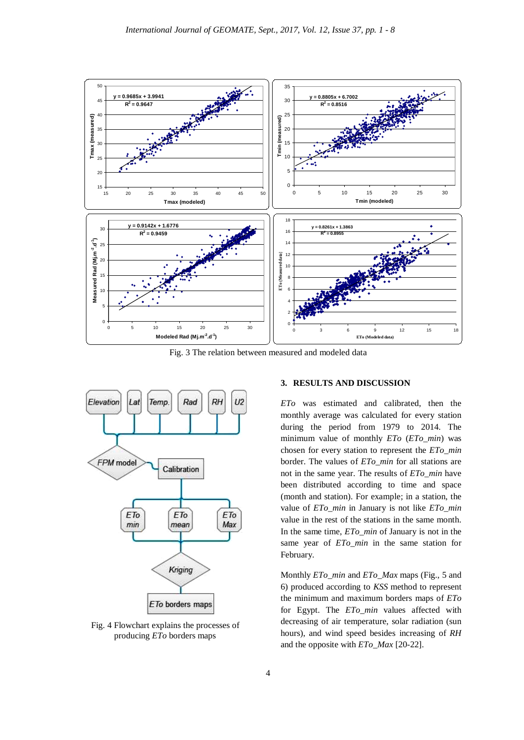

Fig. 3 The relation between measured and modeled data



Fig. 4 Flowchart explains the processes of producing *ETo* borders maps

## **3. RESULTS AND DISCUSSION**

*ETo* was estimated and calibrated, then the monthly average was calculated for every station during the period from 1979 to 2014. The minimum value of monthly *ETo* (*ETo\_min*) was chosen for every station to represent the *ETo\_min* border. The values of *ETo\_min* for all stations are not in the same year. The results of *ETo\_min* have been distributed according to time and space (month and station). For example; in a station, the value of *ETo\_min* in January is not like *ETo\_min* value in the rest of the stations in the same month. In the same time, *ETo\_min* of January is not in the same year of *ETo\_min* in the same station for February.

Monthly *ETo\_min* and *ETo\_Max* maps (Fig., 5 and 6) produced according to *KSS* method to represent the minimum and maximum borders maps of *ETo*  for Egypt. The *ETo\_min* values affected with decreasing of air temperature, solar radiation (sun hours), and wind speed besides increasing of *RH* and the opposite with *ETo\_Max* [20-22].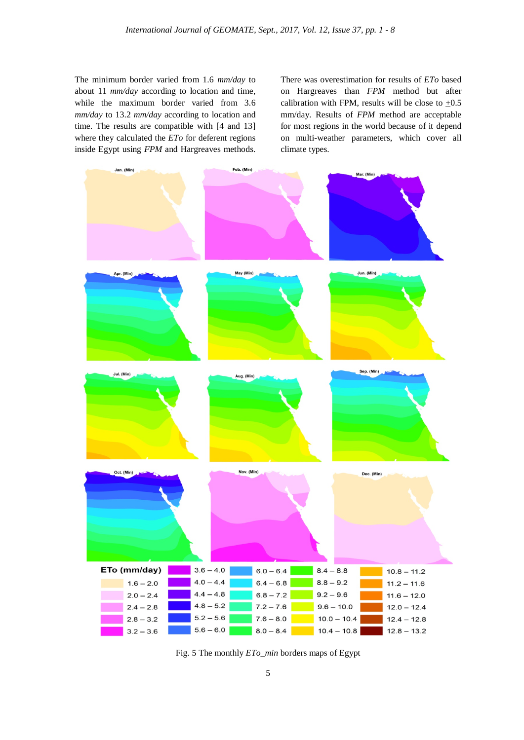The minimum border varied from 1.6 *mm/day* to about 11 *mm/day* according to location and time, while the maximum border varied from 3.6 *mm/day* to 13.2 *mm/day* according to location and time. The results are compatible with [4 and 13] where they calculated the *ETo* for deferent regions inside Egypt using *FPM* and Hargreaves methods. There was overestimation for results of *ETo* based on Hargreaves than *FPM* method but after calibration with FPM, results will be close to  $+0.5$ mm/day. Results of *FPM* method are acceptable for most regions in the world because of it depend on multi-weather parameters, which cover all climate types.



Fig. 5 The monthly *ETo\_min* borders maps of Egypt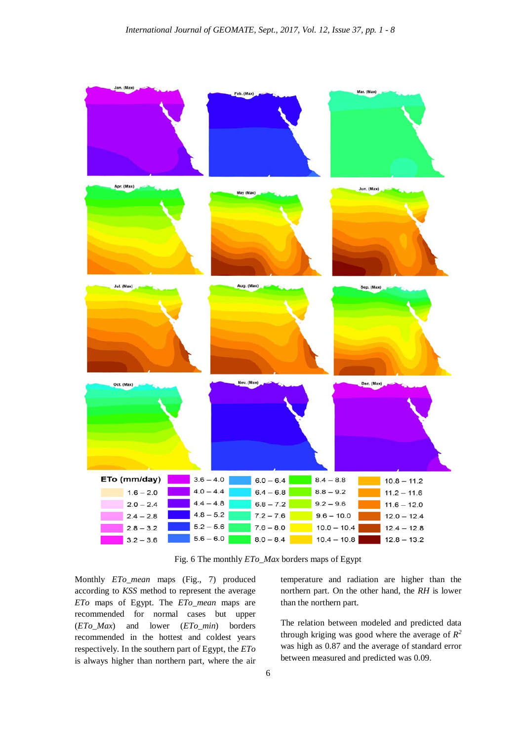

Fig. 6 The monthly *ETo\_Max* borders maps of Egypt

Monthly *ETo\_mean* maps (Fig., 7) produced according to *KSS* method to represent the average *ETo* maps of Egypt. The *ETo\_mean* maps are recommended for normal cases but upper (*ETo\_Max*) and lower (*ETo\_min*) borders recommended in the hottest and coldest years respectively. In the southern part of Egypt, the *ETo* is always higher than northern part, where the air temperature and radiation are higher than the northern part. On the other hand, the *RH* is lower than the northern part.

The relation between modeled and predicted data through kriging was good where the average of  $R^2$ was high as 0.87 and the average of standard error between measured and predicted was 0.09.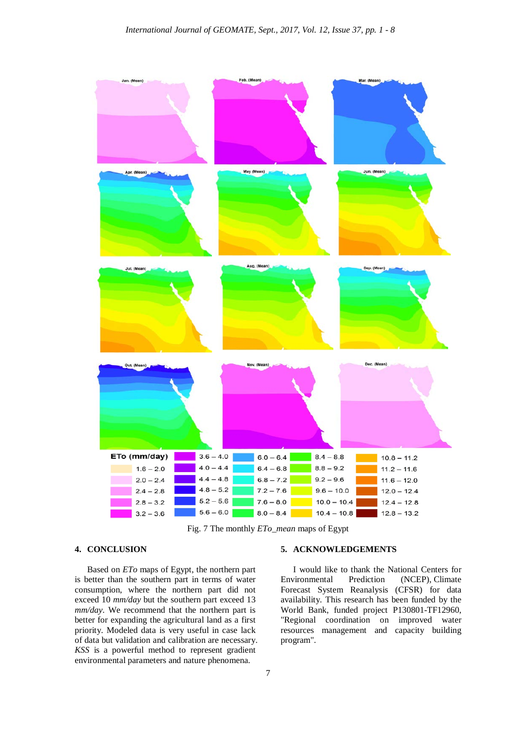

Fig. 7 The monthly *ETo\_mean* maps of Egypt

## **4. CONCLUSION**

Based on *ETo* maps of Egypt, the northern part is better than the southern part in terms of water consumption, where the northern part did not exceed 10 *mm/day* but the southern part exceed 13 *mm/day*. We recommend that the northern part is better for expanding the agricultural land as a first priority. Modeled data is very useful in case lack of data but validation and calibration are necessary. *KSS* is a powerful method to represent gradient environmental parameters and nature phenomena.

### **5. ACKNOWLEDGEMENTS**

I would like to thank the National Centers for Environmental Prediction (NCEP), Climate Forecast System Reanalysis (CFSR) for data availability. This research has been funded by the World Bank, funded project P130801-TF12960, "Regional coordination on improved water resources management and capacity building program".